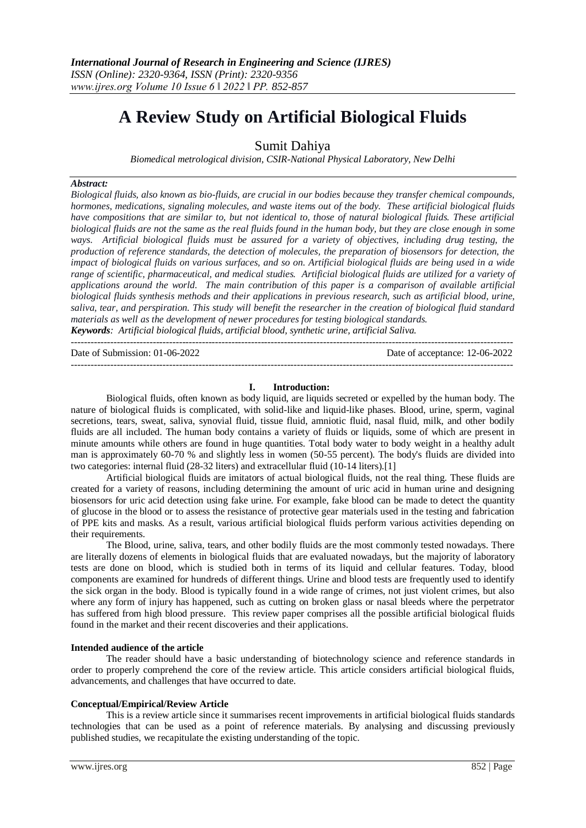$-1.1$ 

# **A Review Study on Artificial Biological Fluids**

Sumit Dahiya

*Biomedical metrological division, CSIR-National Physical Laboratory, New Delhi*

#### *Abstract:*

*Biological fluids, also known as bio-fluids, are crucial in our bodies because they transfer chemical compounds, hormones, medications, signaling molecules, and waste items out of the body. These artificial biological fluids have compositions that are similar to, but not identical to, those of natural biological fluids. These artificial biological fluids are not the same as the real fluids found in the human body, but they are close enough in some ways. Artificial biological fluids must be assured for a variety of objectives, including drug testing, the production of reference standards, the detection of molecules, the preparation of biosensors for detection, the impact of biological fluids on various surfaces, and so on. Artificial biological fluids are being used in a wide range of scientific, pharmaceutical, and medical studies. Artificial biological fluids are utilized for a variety of applications around the world. The main contribution of this paper is a comparison of available artificial biological fluids synthesis methods and their applications in previous research, such as artificial blood, urine, saliva, tear, and perspiration. This study will benefit the researcher in the creation of biological fluid standard materials as well as the development of newer procedures for testing biological standards. Keywords: Artificial biological fluids, artificial blood, synthetic urine, artificial Saliva.*

Date of Submission: 01-06-2022 Date of acceptance: 12-06-2022

## **I. Introduction:**

---------------------------------------------------------------------------------------------------------------------------------------

Biological fluids, often known as body liquid, are liquids secreted or expelled by the human body. The nature of biological fluids is complicated, with solid-like and liquid-like phases. Blood, urine, sperm, vaginal secretions, tears, sweat, saliva, synovial fluid, tissue fluid, amniotic fluid, nasal fluid, milk, and other bodily fluids are all included. The human body contains a variety of fluids or liquids, some of which are present in minute amounts while others are found in huge quantities. Total body water to body weight in a healthy adult man is approximately 60-70 % and slightly less in women (50-55 percent). The body's fluids are divided into two categories: internal fluid (28-32 liters) and extracellular fluid (10-14 liters).[1]

Artificial biological fluids are imitators of actual biological fluids, not the real thing. These fluids are created for a variety of reasons, including determining the amount of uric acid in human urine and designing biosensors for uric acid detection using fake urine. For example, fake blood can be made to detect the quantity of glucose in the blood or to assess the resistance of protective gear materials used in the testing and fabrication of PPE kits and masks. As a result, various artificial biological fluids perform various activities depending on their requirements.

The Blood, urine, saliva, tears, and other bodily fluids are the most commonly tested nowadays. There are literally dozens of elements in biological fluids that are evaluated nowadays, but the majority of laboratory tests are done on blood, which is studied both in terms of its liquid and cellular features. Today, blood components are examined for hundreds of different things. Urine and blood tests are frequently used to identify the sick organ in the body. Blood is typically found in a wide range of crimes, not just violent crimes, but also where any form of injury has happened, such as cutting on broken glass or nasal bleeds where the perpetrator has suffered from high blood pressure. This review paper comprises all the possible artificial biological fluids found in the market and their recent discoveries and their applications.

#### **Intended audience of the article**

The reader should have a basic understanding of biotechnology science and reference standards in order to properly comprehend the core of the review article. This article considers artificial biological fluids, advancements, and challenges that have occurred to date.

#### **Conceptual/Empirical/Review Article**

This is a review article since it summarises recent improvements in artificial biological fluids standards technologies that can be used as a point of reference materials. By analysing and discussing previously published studies, we recapitulate the existing understanding of the topic.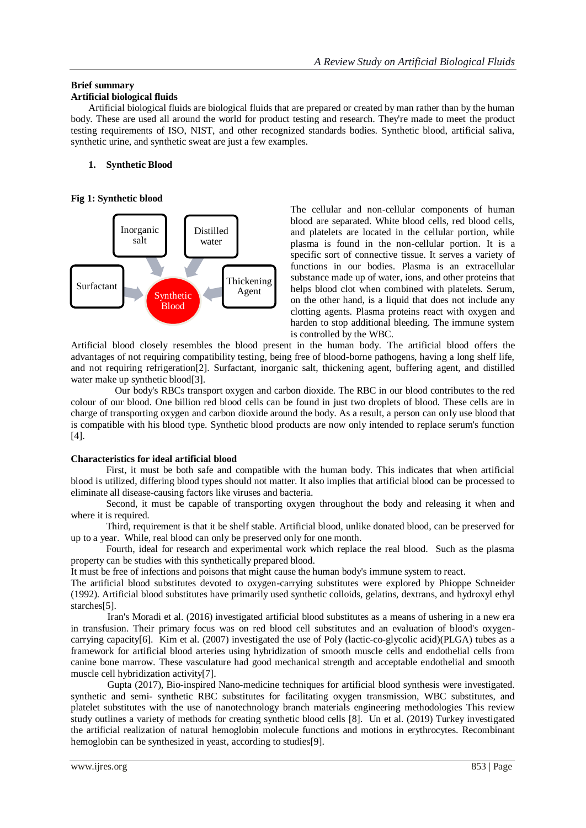# **Brief summary**

## **Artificial biological fluids**

Artificial biological fluids are biological fluids that are prepared or created by man rather than by the human body. These are used all around the world for product testing and research. They're made to meet the product testing requirements of ISO, NIST, and other recognized standards bodies. Synthetic blood, artificial saliva, synthetic urine, and synthetic sweat are just a few examples.

## **1. Synthetic Blood**

## **Fig 1: Synthetic blood**



The cellular and non-cellular components of human blood are separated. White blood cells, red blood cells, and platelets are located in the cellular portion, while plasma is found in the non-cellular portion. It is a specific sort of connective tissue. It serves a variety of functions in our bodies. Plasma is an extracellular substance made up of water, ions, and other proteins that helps blood clot when combined with platelets. Serum, on the other hand, is a liquid that does not include any clotting agents. Plasma proteins react with oxygen and harden to stop additional bleeding. The immune system is controlled by the WBC.

Artificial blood closely resembles the blood present in the human body. The artificial blood offers the advantages of not requiring compatibility testing, being free of blood-borne pathogens, having a long shelf life, and not requiring refrigeration[2]. Surfactant, inorganic salt, thickening agent, buffering agent, and distilled water make up synthetic blood[3].

 Our body's RBCs transport oxygen and carbon dioxide. The RBC in our blood contributes to the red colour of our blood. One billion red blood cells can be found in just two droplets of blood. These cells are in charge of transporting oxygen and carbon dioxide around the body. As a result, a person can only use blood that is compatible with his blood type. Synthetic blood products are now only intended to replace serum's function [4].

# **Characteristics for ideal artificial blood**

First, it must be both safe and compatible with the human body. This indicates that when artificial blood is utilized, differing blood types should not matter. It also implies that artificial blood can be processed to eliminate all disease-causing factors like viruses and bacteria.

Second, it must be capable of transporting oxygen throughout the body and releasing it when and where it is required.

Third, requirement is that it be shelf stable. Artificial blood, unlike donated blood, can be preserved for up to a year. While, real blood can only be preserved only for one month.

Fourth, ideal for research and experimental work which replace the real blood. Such as the plasma property can be studies with this synthetically prepared blood.

It must be free of infections and poisons that might cause the human body's immune system to react.

The artificial blood substitutes devoted to oxygen-carrying substitutes were explored by Phioppe Schneider (1992). Artificial blood substitutes have primarily used synthetic colloids, gelatins, dextrans, and hydroxyl ethyl starches<sup>[5]</sup>.

 Iran's Moradi et al. (2016) investigated artificial blood substitutes as a means of ushering in a new era in transfusion. Their primary focus was on red blood cell substitutes and an evaluation of blood's oxygencarrying capacity[6]. Kim et al. (2007) investigated the use of Poly (lactic-co-glycolic acid)(PLGA) tubes as a framework for artificial blood arteries using hybridization of smooth muscle cells and endothelial cells from canine bone marrow. These vasculature had good mechanical strength and acceptable endothelial and smooth muscle cell hybridization activity[7].

 Gupta (2017), Bio-inspired Nano-medicine techniques for artificial blood synthesis were investigated. synthetic and semi- synthetic RBC substitutes for facilitating oxygen transmission, WBC substitutes, and platelet substitutes with the use of nanotechnology branch materials engineering methodologies This review study outlines a variety of methods for creating synthetic blood cells [8]. Un et al. (2019) Turkey investigated the artificial realization of natural hemoglobin molecule functions and motions in erythrocytes. Recombinant hemoglobin can be synthesized in yeast, according to studies[9].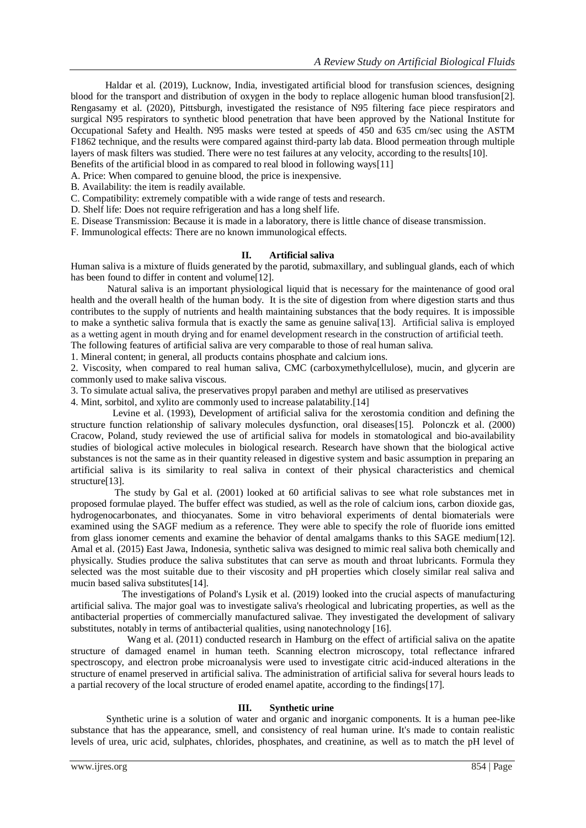Haldar et al. (2019), Lucknow, India, investigated artificial blood for transfusion sciences, designing blood for the transport and distribution of oxygen in the body to replace allogenic human blood transfusion[2]. Rengasamy et al. (2020), Pittsburgh, investigated the resistance of N95 filtering face piece respirators and surgical N95 respirators to synthetic blood penetration that have been approved by the National Institute for Occupational Safety and Health. N95 masks were tested at speeds of 450 and 635 cm/sec using the ASTM F1862 technique, and the results were compared against third-party lab data. Blood permeation through multiple layers of mask filters was studied. There were no test failures at any velocity, according to the results[10].

Benefits of the artificial blood in as compared to real blood in following ways[11] A. Price: When compared to genuine blood, the price is inexpensive.

B. Availability: the item is readily available.

C. Compatibility: extremely compatible with a wide range of tests and research.

D. Shelf life: Does not require refrigeration and has a long shelf life.

E. Disease Transmission: Because it is made in a laboratory, there is little chance of disease transmission.

F. Immunological effects: There are no known immunological effects.

## **II. Artificial saliva**

Human saliva is a mixture of fluids generated by the parotid, submaxillary, and sublingual glands, each of which has been found to differ in content and volume[12].

 Natural saliva is an important physiological liquid that is necessary for the maintenance of good oral health and the overall health of the human body. It is the site of digestion from where digestion starts and thus contributes to the supply of nutrients and health maintaining substances that the body requires. It is impossible to make a synthetic saliva formula that is exactly the same as genuine saliva[13]. Artificial saliva is employed as a wetting agent in mouth drying and for enamel development research in the construction of artificial teeth.

The following features of artificial saliva are very comparable to those of real human saliva.

1. Mineral content; in general, all products contains phosphate and calcium ions.

2. Viscosity, when compared to real human saliva, CMC (carboxymethylcellulose), mucin, and glycerin are commonly used to make saliva viscous.

3. To simulate actual saliva, the preservatives propyl paraben and methyl are utilised as preservatives

4. Mint, sorbitol, and xylito are commonly used to increase palatability.[14]

 Levine et al. (1993), Development of artificial saliva for the xerostomia condition and defining the structure function relationship of salivary molecules dysfunction, oral diseases[15]. Polonczk et al. (2000) Cracow, Poland, study reviewed the use of artificial saliva for models in stomatological and bio-availability studies of biological active molecules in biological research. Research have shown that the biological active substances is not the same as in their quantity released in digestive system and basic assumption in preparing an artificial saliva is its similarity to real saliva in context of their physical characteristics and chemical structure[13].

 The study by Gal et al. (2001) looked at 60 artificial salivas to see what role substances met in proposed formulae played. The buffer effect was studied, as well as the role of calcium ions, carbon dioxide gas, hydrogenocarbonates, and thiocyanates. Some in vitro behavioral experiments of dental biomaterials were examined using the SAGF medium as a reference. They were able to specify the role of fluoride ions emitted from glass ionomer cements and examine the behavior of dental amalgams thanks to this SAGE medium[12]. Amal et al. (2015) East Jawa, Indonesia, synthetic saliva was designed to mimic real saliva both chemically and physically. Studies produce the saliva substitutes that can serve as mouth and throat lubricants. Formula they selected was the most suitable due to their viscosity and pH properties which closely similar real saliva and mucin based saliva substitutes[14].

 The investigations of Poland's Lysik et al. (2019) looked into the crucial aspects of manufacturing artificial saliva. The major goal was to investigate saliva's rheological and lubricating properties, as well as the antibacterial properties of commercially manufactured salivae. They investigated the development of salivary substitutes, notably in terms of antibacterial qualities, using nanotechnology [16].

 Wang et al. (2011) conducted research in Hamburg on the effect of artificial saliva on the apatite structure of damaged enamel in human teeth. Scanning electron microscopy, total reflectance infrared spectroscopy, and electron probe microanalysis were used to investigate citric acid-induced alterations in the structure of enamel preserved in artificial saliva. The administration of artificial saliva for several hours leads to a partial recovery of the local structure of eroded enamel apatite, according to the findings[17].

#### **III. Synthetic urine**

Synthetic urine is a solution of water and organic and inorganic components. It is a human pee-like substance that has the appearance, smell, and consistency of real human urine. It's made to contain realistic levels of urea, uric acid, sulphates, chlorides, phosphates, and creatinine, as well as to match the pH level of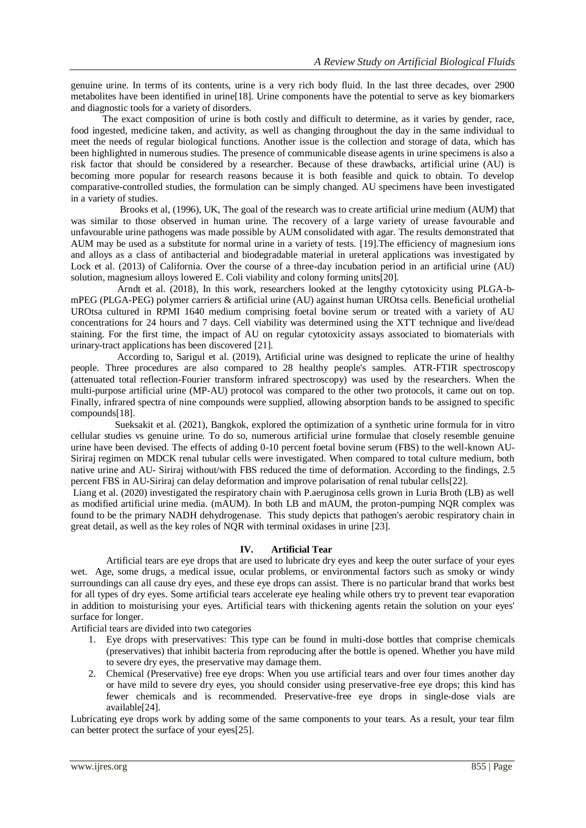genuine urine. In terms of its contents, urine is a very rich body fluid. In the last three decades, over 2900 metabolites have been identified in urine[18]. Urine components have the potential to serve as key biomarkers and diagnostic tools for a variety of disorders.

 The exact composition of urine is both costly and difficult to determine, as it varies by gender, race, food ingested, medicine taken, and activity, as well as changing throughout the day in the same individual to meet the needs of regular biological functions. Another issue is the collection and storage of data, which has been highlighted in numerous studies. The presence of communicable disease agents in urine specimens is also a risk factor that should be considered by a researcher. Because of these drawbacks, artificial urine (AU) is becoming more popular for research reasons because it is both feasible and quick to obtain. To develop comparative-controlled studies, the formulation can be simply changed. AU specimens have been investigated in a variety of studies.

 Brooks et al, (1996), UK, The goal of the research was to create artificial urine medium (AUM) that was similar to those observed in human urine. The recovery of a large variety of urease favourable and unfavourable urine pathogens was made possible by AUM consolidated with agar. The results demonstrated that AUM may be used as a substitute for normal urine in a variety of tests. [19].The efficiency of magnesium ions and alloys as a class of antibacterial and biodegradable material in ureteral applications was investigated by Lock et al. (2013) of California. Over the course of a three-day incubation period in an artificial urine (AU) solution, magnesium alloys lowered E. Coli viability and colony forming units[20].

 Arndt et al. (2018), In this work, researchers looked at the lengthy cytotoxicity using PLGA-bmPEG (PLGA-PEG) polymer carriers & artificial urine (AU) against human UROtsa cells. Beneficial urothelial UROtsa cultured in RPMI 1640 medium comprising foetal bovine serum or treated with a variety of AU concentrations for 24 hours and 7 days. Cell viability was determined using the XTT technique and live/dead staining. For the first time, the impact of AU on regular cytotoxicity assays associated to biomaterials with urinary-tract applications has been discovered [21].

 According to, Sarigul et al. (2019), Artificial urine was designed to replicate the urine of healthy people. Three procedures are also compared to 28 healthy people's samples. ATR-FTIR spectroscopy (attenuated total reflection-Fourier transform infrared spectroscopy) was used by the researchers. When the multi-purpose artificial urine (MP-AU) protocol was compared to the other two protocols, it came out on top. Finally, infrared spectra of nine compounds were supplied, allowing absorption bands to be assigned to specific compounds[18].

 Sueksakit et al. (2021), Bangkok, explored the optimization of a synthetic urine formula for in vitro cellular studies vs genuine urine. To do so, numerous artificial urine formulae that closely resemble genuine urine have been devised. The effects of adding 0-10 percent foetal bovine serum (FBS) to the well-known AU-Siriraj regimen on MDCK renal tubular cells were investigated. When compared to total culture medium, both native urine and AU- Siriraj without/with FBS reduced the time of deformation. According to the findings, 2.5 percent FBS in AU-Siriraj can delay deformation and improve polarisation of renal tubular cells[22].

Liang et al. (2020) investigated the respiratory chain with P.aeruginosa cells grown in Luria Broth (LB) as well as modified artificial urine media. (mAUM). In both LB and mAUM, the proton-pumping NQR complex was found to be the primary NADH dehydrogenase. This study depicts that pathogen's aerobic respiratory chain in great detail, as well as the key roles of NQR with terminal oxidases in urine [23].

# **IV. Artificial Tear**

Artificial tears are eye drops that are used to lubricate dry eyes and keep the outer surface of your eyes wet. Age, some drugs, a medical issue, ocular problems, or environmental factors such as smoky or windy surroundings can all cause dry eyes, and these eye drops can assist. There is no particular brand that works best for all types of dry eyes. Some artificial tears accelerate eye healing while others try to prevent tear evaporation in addition to moisturising your eyes. Artificial tears with thickening agents retain the solution on your eyes' surface for longer.

Artificial tears are divided into two categories

- 1. Eye drops with preservatives: This type can be found in multi-dose bottles that comprise chemicals (preservatives) that inhibit bacteria from reproducing after the bottle is opened. Whether you have mild to severe dry eyes, the preservative may damage them.
- 2. Chemical (Preservative) free eye drops: When you use artificial tears and over four times another day or have mild to severe dry eyes, you should consider using preservative-free eye drops; this kind has fewer chemicals and is recommended. Preservative-free eye drops in single-dose vials are available[24].

Lubricating eye drops work by adding some of the same components to your tears. As a result, your tear film can better protect the surface of your eyes[25].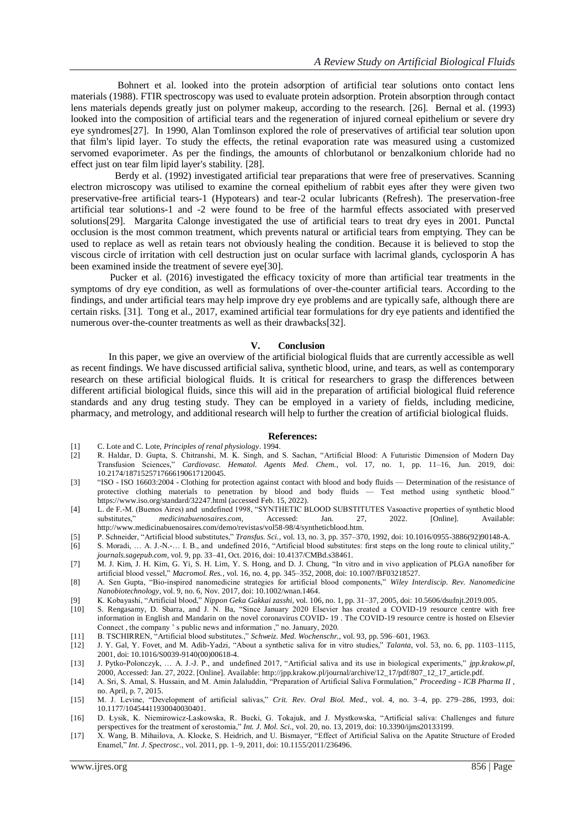Bohnert et al. looked into the protein adsorption of artificial tear solutions onto contact lens materials (1988). FTIR spectroscopy was used to evaluate protein adsorption. Protein absorption through contact lens materials depends greatly just on polymer makeup, according to the research. [26]. Bernal et al. (1993) looked into the composition of artificial tears and the regeneration of injured corneal epithelium or severe dry eye syndromes[27]. In 1990, Alan Tomlinson explored the role of preservatives of artificial tear solution upon that film's lipid layer. To study the effects, the retinal evaporation rate was measured using a customized servomed evaporimeter. As per the findings, the amounts of chlorbutanol or benzalkonium chloride had no effect just on tear film lipid layer's stability. [28].

 Berdy et al. (1992) investigated artificial tear preparations that were free of preservatives. Scanning electron microscopy was utilised to examine the corneal epithelium of rabbit eyes after they were given two preservative-free artificial tears-1 (Hypotears) and tear-2 ocular lubricants (Refresh). The preservation-free artificial tear solutions-1 and -2 were found to be free of the harmful effects associated with preserved solutions[29]. Margarita Calonge investigated the use of artificial tears to treat dry eyes in 2001. Punctal occlusion is the most common treatment, which prevents natural or artificial tears from emptying. They can be used to replace as well as retain tears not obviously healing the condition. Because it is believed to stop the viscous circle of irritation with cell destruction just on ocular surface with lacrimal glands, cyclosporin A has been examined inside the treatment of severe eye[30].

 Pucker et al. (2016) investigated the efficacy toxicity of more than artificial tear treatments in the symptoms of dry eye condition, as well as formulations of over-the-counter artificial tears. According to the findings, and under artificial tears may help improve dry eye problems and are typically safe, although there are certain risks. [31]. Tong et al., 2017, examined artificial tear formulations for dry eye patients and identified the numerous over-the-counter treatments as well as their drawbacks[32].

#### **V. Conclusion**

In this paper, we give an overview of the artificial biological fluids that are currently accessible as well as recent findings. We have discussed artificial saliva, synthetic blood, urine, and tears, as well as contemporary research on these artificial biological fluids. It is critical for researchers to grasp the differences between different artificial biological fluids, since this will aid in the preparation of artificial biological fluid reference standards and any drug testing study. They can be employed in a variety of fields, including medicine, pharmacy, and metrology, and additional research will help to further the creation of artificial biological fluids.

#### **References:**

- [1] C. Lote and C. Lote, *Principles of renal physiology*. 1994.
- R. Haldar, D. Gupta, S. Chitranshi, M. K. Singh, and S. Sachan, "Artificial Blood: A Futuristic Dimension of Modern Day Transfusion Sciences," *Cardiovasc. Hematol. Agents Med. Chem.*, vol. 17, no. 1, pp. 11–16, Jun. 2019, doi: 10.2174/1871525717666190617120045.
- [3] "ISO ISO 16603:2004 Clothing for protection against contact with blood and body fluids Determination of the resistance of protective clothing materials to penetration by blood and body fluids — Test method using synthetic blood." https://www.iso.org/standard/32247.html (accessed Feb. 15, 2022).
- [4] L. de F.-M. (Buenos Aires) and undefined 1998, "SYNTHETIC BLOOD SUBSTITUTES Vasoactive properties of synthetic blood substitutes," *medicinabuenosaires.com*, Accessed: Jan. 27, 2022. [Online]. Available: http://www.medicinabuenosaires.com/demo/revistas/vol58-98/4/syntheticblood.htm.
- [5] P. Schneider, "Artificial blood substitutes," *Transfus. Sci.*, vol. 13, no. 3, pp. 357–370, 1992, doi: 10.1016/0955-3886(92)90148-A.
- [6] S. Moradi, … A. J.-N.-… I. B., and undefined 2016, "Artificial blood substitutes: first steps on the long route to clinical utility," *journals.sagepub.com*, vol. 9, pp. 33–41, Oct. 2016, doi: 10.4137/CMBd.s38461.
- [7] M. J. Kim, J. H. Kim, G. Yi, S. H. Lim, Y. S. Hong, and D. J. Chung, "In vitro and in vivo application of PLGA nanofiber for artificial blood vessel," *Macromol. Res.*, vol. 16, no. 4, pp. 345–352, 2008, doi: 10.1007/BF03218527.
- [8] A. Sen Gupta, "Bio-inspired nanomedicine strategies for artificial blood components," *Wiley Interdiscip. Rev. Nanomedicine Nanobiotechnology*, vol. 9, no. 6, Nov. 2017, doi: 10.1002/wnan.1464.
- [9] K. Kobayashi, "Artificial blood," *Nippon Geka Gakkai zasshi*, vol. 106, no. 1, pp. 31–37, 2005, doi: 10.5606/dsufnjt.2019.005.
- [10] S. Rengasamy, D. Sbarra, and J. N. Ba, "Since January 2020 Elsevier has created a COVID-19 resource centre with free information in English and Mandarin on the novel coronavirus COVID- 19 . The COVID-19 resource centre is hosted on Elsevier Connect , the company ' s public news and information ," no. January, 2020.
- [11] B. TSCHIRREN, "Artificial blood substitutes.," *Schweiz. Med. Wochenschr.*, vol. 93, pp. 596–601, 1963.
- [12] J. Y. Gal, Y. Fovet, and M. Adib-Yadzi, "About a synthetic saliva for in vitro studies," *Talanta*, vol. 53, no. 6, pp. 1103–1115, 2001, doi: 10.1016/S0039-9140(00)00618-4.
- [13] J. Pytko-Polonczyk, … A. J.-J. P., and undefined 2017, "Artificial saliva and its use in biological experiments," *jpp.krakow.pl*, 2000, Accessed: Jan. 27, 2022. [Online]. Available: http://jpp.krakow.pl/journal/archive/12\_17/pdf/807\_12\_17\_article.pdf.
- [14] A. Sri, S. Amal, S. Hussain, and M. Amin Jalaluddin, "Preparation of Artificial Saliva Formulation," *Proceeding - ICB Pharma II* , no. April, p. 7, 2015.
- [15] M. J. Levine, "Development of artificial salivas," *Crit. Rev. Oral Biol. Med.*, vol. 4, no. 3–4, pp. 279–286, 1993, doi: 10.1177/10454411930040030401.
- [16] D. Łysik, K. Niemirowicz-Laskowska, R. Bucki, G. Tokajuk, and J. Mystkowska, "Artificial saliva: Challenges and future perspectives for the treatment of xerostomia," *Int. J. Mol. Sci.*, vol. 20, no. 13, 2019, doi: 10.3390/ijms20133199.
- [17] X. Wang, B. Mihailova, A. Klocke, S. Heidrich, and U. Bismayer, "Effect of Artificial Saliva on the Apatite Structure of Eroded Enamel," *Int. J. Spectrosc.*, vol. 2011, pp. 1–9, 2011, doi: 10.1155/2011/236496.